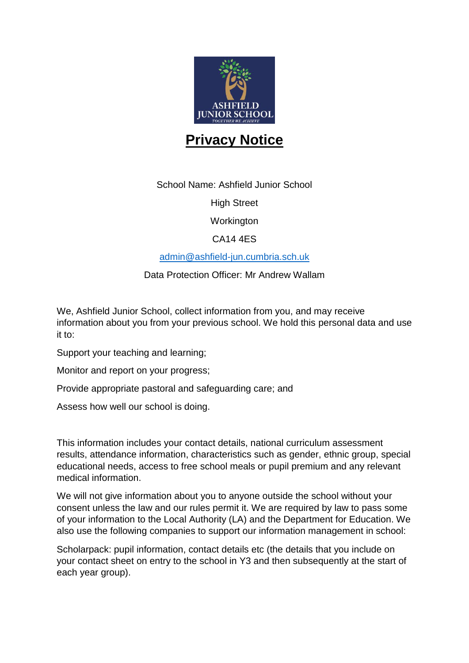

## **Privacy Notice**

School Name: Ashfield Junior School

High Street

**Workington** 

CA14 4ES

[admin@ashfield-jun.cumbria.sch.uk](mailto:admin@ashfield-jun.cumbria.sch.uk)

Data Protection Officer: Mr Andrew Wallam

We, Ashfield Junior School, collect information from you, and may receive information about you from your previous school. We hold this personal data and use it to:

Support your teaching and learning;

Monitor and report on your progress;

Provide appropriate pastoral and safeguarding care; and

Assess how well our school is doing.

This information includes your contact details, national curriculum assessment results, attendance information, characteristics such as gender, ethnic group, special educational needs, access to free school meals or pupil premium and any relevant medical information.

We will not give information about you to anyone outside the school without your consent unless the law and our rules permit it. We are required by law to pass some of your information to the Local Authority (LA) and the Department for Education. We also use the following companies to support our information management in school:

Scholarpack: pupil information, contact details etc (the details that you include on your contact sheet on entry to the school in Y3 and then subsequently at the start of each year group).